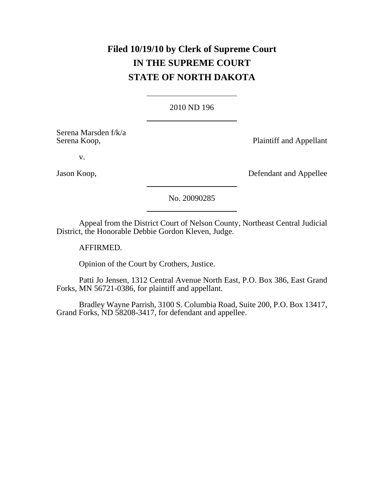# **Filed 10/19/10 by Clerk of Supreme Court IN THE SUPREME COURT STATE OF NORTH DAKOTA**

## 2010 ND 196

Serena Marsden f/k/a

Serena Koop, **Plaintiff and Appellant** 

v.

Jason Koop, Defendant and Appellee

## No. 20090285

Appeal from the District Court of Nelson County, Northeast Central Judicial District, the Honorable Debbie Gordon Kleven, Judge.

AFFIRMED.

Opinion of the Court by Crothers, Justice.

Patti Jo Jensen, 1312 Central Avenue North East, P.O. Box 386, East Grand Forks, MN 56721-0386, for plaintiff and appellant.

Bradley Wayne Parrish, 3100 S. Columbia Road, Suite 200, P.O. Box 13417, Grand Forks, ND 58208-3417, for defendant and appellee.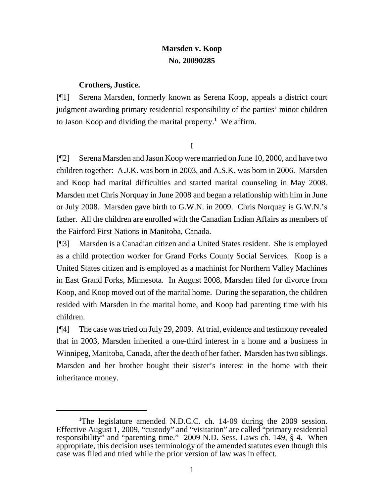## **Marsden v. Koop No. 20090285**

## **Crothers, Justice.**

[¶1] Serena Marsden, formerly known as Serena Koop, appeals a district court judgment awarding primary residential responsibility of the parties' minor children to Jason Koop and dividing the marital property.**<sup>1</sup>** We affirm.

I

[¶2] Serena Marsden and Jason Koop were married on June 10, 2000, and have two children together: A.J.K. was born in 2003, and A.S.K. was born in 2006. Marsden and Koop had marital difficulties and started marital counseling in May 2008. Marsden met Chris Norquay in June 2008 and began a relationship with him in June or July 2008. Marsden gave birth to G.W.N. in 2009. Chris Norquay is G.W.N.'s father. All the children are enrolled with the Canadian Indian Affairs as members of the Fairford First Nations in Manitoba, Canada.

[¶3] Marsden is a Canadian citizen and a United States resident. She is employed as a child protection worker for Grand Forks County Social Services. Koop is a United States citizen and is employed as a machinist for Northern Valley Machines in East Grand Forks, Minnesota. In August 2008, Marsden filed for divorce from Koop, and Koop moved out of the marital home. During the separation, the children resided with Marsden in the marital home, and Koop had parenting time with his children.

[¶4] The case was tried on July 29, 2009. At trial, evidence and testimony revealed that in 2003, Marsden inherited a one-third interest in a home and a business in Winnipeg, Manitoba, Canada, after the death of her father. Marsden has two siblings. Marsden and her brother bought their sister's interest in the home with their inheritance money.

<sup>&</sup>lt;sup>1</sup>The legislature amended N.D.C.C. ch. 14-09 during the 2009 session. Effective August 1, 2009, "custody" and "visitation" are called "primary residential responsibility" and "parenting time." 2009 N.D. Sess. Laws ch. 149, § 4. When appropriate, this decision uses terminology of the amended statutes even though this case was filed and tried while the prior version of law was in effect.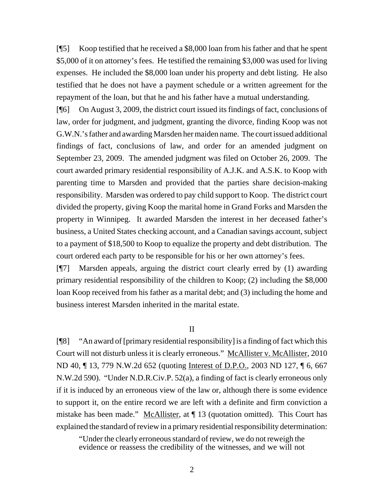[¶5] Koop testified that he received a \$8,000 loan from his father and that he spent \$5,000 of it on attorney's fees. He testified the remaining \$3,000 was used for living expenses. He included the \$8,000 loan under his property and debt listing. He also testified that he does not have a payment schedule or a written agreement for the repayment of the loan, but that he and his father have a mutual understanding.

[¶6] On August 3, 2009, the district court issued its findings of fact, conclusions of law, order for judgment, and judgment, granting the divorce, finding Koop was not G.W.N.'s father and awarding Marsden her maiden name. The court issued additional findings of fact, conclusions of law, and order for an amended judgment on September 23, 2009. The amended judgment was filed on October 26, 2009. The court awarded primary residential responsibility of A.J.K. and A.S.K. to Koop with parenting time to Marsden and provided that the parties share decision-making responsibility. Marsden was ordered to pay child support to Koop. The district court divided the property, giving Koop the marital home in Grand Forks and Marsden the property in Winnipeg. It awarded Marsden the interest in her deceased father's business, a United States checking account, and a Canadian savings account, subject to a payment of \$18,500 to Koop to equalize the property and debt distribution. The court ordered each party to be responsible for his or her own attorney's fees.

[¶7] Marsden appeals, arguing the district court clearly erred by (1) awarding primary residential responsibility of the children to Koop; (2) including the \$8,000 loan Koop received from his father as a marital debt; and (3) including the home and business interest Marsden inherited in the marital estate.

## II

[¶8] "An award of [primary residential responsibility] is a finding of fact which this Court will not disturb unless it is clearly erroneous." McAllister v. McAllister, 2010 ND 40, ¶ 13, 779 N.W.2d 652 (quoting Interest of D.P.O., 2003 ND 127, ¶ 6, 667 N.W.2d 590). "Under N.D.R.Civ.P. 52(a), a finding of fact is clearly erroneous only if it is induced by an erroneous view of the law or, although there is some evidence to support it, on the entire record we are left with a definite and firm conviction a mistake has been made." McAllister, at ¶ 13 (quotation omitted). This Court has explained the standard of review in a primary residential responsibility determination:

"Under the clearly erroneous standard of review, we do not reweigh the evidence or reassess the credibility of the witnesses, and we will not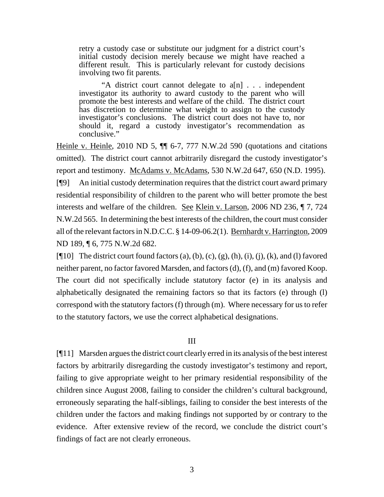retry a custody case or substitute our judgment for a district court's initial custody decision merely because we might have reached a different result. This is particularly relevant for custody decisions involving two fit parents.

"A district court cannot delegate to a[n] . . . independent investigator its authority to award custody to the parent who will promote the best interests and welfare of the child. The district court has discretion to determine what weight to assign to the custody investigator's conclusions. The district court does not have to, nor should it, regard a custody investigator's recommendation as conclusive."

Heinle v. Heinle, 2010 ND 5, ¶¶ 6-7, 777 N.W.2d 590 (quotations and citations omitted). The district court cannot arbitrarily disregard the custody investigator's report and testimony. McAdams v. McAdams, 530 N.W.2d 647, 650 (N.D. 1995). [¶9] An initial custody determination requires that the district court award primary residential responsibility of children to the parent who will better promote the best interests and welfare of the children. See Klein v. Larson, 2006 ND 236, ¶ 7, 724 N.W.2d 565. In determining the best interests of the children, the court must consider all of the relevant factors in N.D.C.C. § 14-09-06.2(1). Bernhardt v. Harrington, 2009 ND 189, ¶ 6, 775 N.W.2d 682.

[ $[$ [10] The district court found factors (a), (b), (c), (g), (h), (i), (j), (k), and (l) favored neither parent, no factor favored Marsden, and factors (d), (f), and (m) favored Koop. The court did not specifically include statutory factor (e) in its analysis and alphabetically designated the remaining factors so that its factors (e) through (l) correspond with the statutory factors (f) through (m). Where necessary for us to refer to the statutory factors, we use the correct alphabetical designations.

## III

[¶11] Marsden argues the district court clearly erred in its analysis of the best interest factors by arbitrarily disregarding the custody investigator's testimony and report, failing to give appropriate weight to her primary residential responsibility of the children since August 2008, failing to consider the children's cultural background, erroneously separating the half-siblings, failing to consider the best interests of the children under the factors and making findings not supported by or contrary to the evidence. After extensive review of the record, we conclude the district court's findings of fact are not clearly erroneous.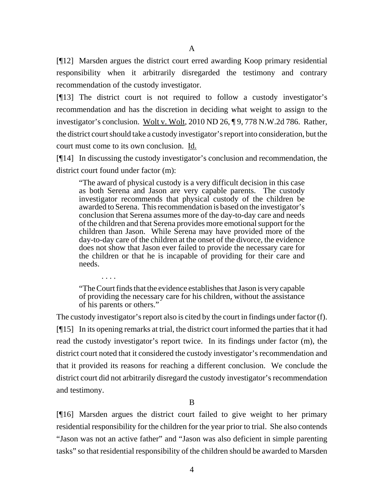[¶12] Marsden argues the district court erred awarding Koop primary residential responsibility when it arbitrarily disregarded the testimony and contrary recommendation of the custody investigator.

[¶13] The district court is not required to follow a custody investigator's recommendation and has the discretion in deciding what weight to assign to the investigator's conclusion. Wolt v. Wolt, 2010 ND 26, ¶ 9, 778 N.W.2d 786. Rather, the district court should take a custody investigator's report into consideration, but the court must come to its own conclusion. Id.

[¶14] In discussing the custody investigator's conclusion and recommendation, the district court found under factor (m):

"The award of physical custody is a very difficult decision in this case as both Serena and Jason are very capable parents. The custody investigator recommends that physical custody of the children be awarded to Serena. This recommendation is based on the investigator's conclusion that Serena assumes more of the day-to-day care and needs of the children and that Serena provides more emotional support for the children than Jason. While Serena may have provided more of the day-to-day care of the children at the onset of the divorce, the evidence does not show that Jason ever failed to provide the necessary care for the children or that he is incapable of providing for their care and needs.

"The Court finds that the evidence establishes that Jason is very capable of providing the necessary care for his children, without the assistance of his parents or others."

. . . .

The custody investigator's report also is cited by the court in findings under factor (f). [¶15] In its opening remarks at trial, the district court informed the parties that it had read the custody investigator's report twice. In its findings under factor (m), the district court noted that it considered the custody investigator's recommendation and that it provided its reasons for reaching a different conclusion. We conclude the district court did not arbitrarily disregard the custody investigator's recommendation and testimony.

B

[¶16] Marsden argues the district court failed to give weight to her primary residential responsibility for the children for the year prior to trial. She also contends "Jason was not an active father" and "Jason was also deficient in simple parenting tasks" so that residential responsibility of the children should be awarded to Marsden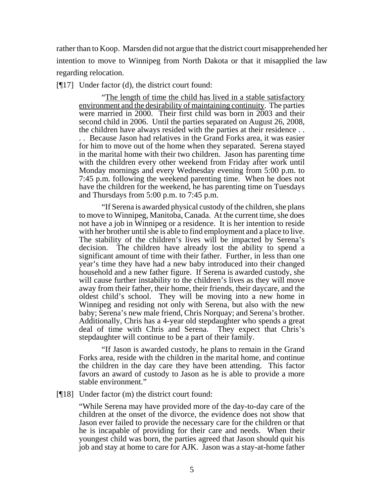rather than to Koop. Marsden did not argue that the district court misapprehended her intention to move to Winnipeg from North Dakota or that it misapplied the law regarding relocation.

[¶17] Under factor (d), the district court found:

"The length of time the child has lived in a stable satisfactory environment and the desirability of maintaining continuity. The parties were married in 2000. Their first child was born in 2003 and their second child in 2006. Until the parties separated on August 26, 2008, the children have always resided with the parties at their residence . .

. . Because Jason had relatives in the Grand Forks area, it was easier for him to move out of the home when they separated. Serena stayed in the marital home with their two children. Jason has parenting time with the children every other weekend from Friday after work until Monday mornings and every Wednesday evening from 5:00 p.m. to 7:45 p.m. following the weekend parenting time. When he does not have the children for the weekend, he has parenting time on Tuesdays and Thursdays from 5:00 p.m. to 7:45 p.m.

"If Serena is awarded physical custody of the children, she plans to move to Winnipeg, Manitoba, Canada. At the current time, she does not have a job in Winnipeg or a residence. It is her intention to reside with her brother until she is able to find employment and a place to live. The stability of the children's lives will be impacted by Serena's decision. The children have already lost the ability to spend a significant amount of time with their father. Further, in less than one year's time they have had a new baby introduced into their changed household and a new father figure. If Serena is awarded custody, she will cause further instability to the children's lives as they will move away from their father, their home, their friends, their daycare, and the oldest child's school. They will be moving into a new home in Winnipeg and residing not only with Serena, but also with the new baby; Serena's new male friend, Chris Norquay; and Serena's brother. Additionally, Chris has a 4-year old stepdaughter who spends a great deal of time with Chris and Serena. They expect that Chris's stepdaughter will continue to be a part of their family.

"If Jason is awarded custody, he plans to remain in the Grand Forks area, reside with the children in the marital home, and continue the children in the day care they have been attending. This factor favors an award of custody to Jason as he is able to provide a more stable environment."

#### [¶18] Under factor (m) the district court found:

"While Serena may have provided more of the day-to-day care of the children at the onset of the divorce, the evidence does not show that Jason ever failed to provide the necessary care for the children or that he is incapable of providing for their care and needs. When their youngest child was born, the parties agreed that Jason should quit his job and stay at home to care for AJK. Jason was a stay-at-home father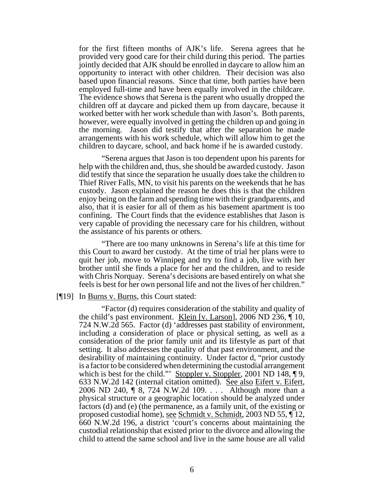for the first fifteen months of AJK's life. Serena agrees that he provided very good care for their child during this period. The parties jointly decided that AJK should be enrolled in daycare to allow him an opportunity to interact with other children. Their decision was also based upon financial reasons. Since that time, both parties have been employed full-time and have been equally involved in the childcare. The evidence shows that Serena is the parent who usually dropped the children off at daycare and picked them up from daycare, because it worked better with her work schedule than with Jason's. Both parents, however, were equally involved in getting the children up and going in the morning. Jason did testify that after the separation he made arrangements with his work schedule, which will allow him to get the children to daycare, school, and back home if he is awarded custody.

"Serena argues that Jason is too dependent upon his parents for help with the children and, thus, she should be awarded custody. Jason did testify that since the separation he usually does take the children to Thief River Falls, MN, to visit his parents on the weekends that he has custody. Jason explained the reason he does this is that the children enjoy being on the farm and spending time with their grandparents, and also, that it is easier for all of them as his basement apartment is too confining. The Court finds that the evidence establishes that Jason is very capable of providing the necessary care for his children, without the assistance of his parents or others.

"There are too many unknowns in Serena's life at this time for this Court to award her custody. At the time of trial her plans were to quit her job, move to Winnipeg and try to find a job, live with her brother until she finds a place for her and the children, and to reside with Chris Norquay. Serena's decisions are based entirely on what she feels is best for her own personal life and not the lives of her children."

#### [¶19] In Burns v. Burns, this Court stated:

"Factor (d) requires consideration of the stability and quality of the child's past environment. Klein [v. Larson], 2006 ND 236, ¶ 10, 724 N.W.2d 565. Factor (d) 'addresses past stability of environment, including a consideration of place or physical setting, as well as a consideration of the prior family unit and its lifestyle as part of that setting. It also addresses the quality of that past environment, and the desirability of maintaining continuity. Under factor d, "prior custody is a factor to be considered when determining the custodial arrangement which is best for the child." Stoppler v. Stoppler, 2001 ND 148,  $\P$ 9, 633 N.W.2d 142 (internal citation omitted). See also Eifert v. Eifert, 2006 ND 240, ¶ 8, 724 N.W.2d 109. . . . Although more than a physical structure or a geographic location should be analyzed under factors (d) and (e) (the permanence, as a family unit, of the existing or proposed custodial home), see Schmidt v. Schmidt, 2003 ND 55, ¶ 12, 660 N.W.2d 196, a district 'court's concerns about maintaining the custodial relationship that existed prior to the divorce and allowing the child to attend the same school and live in the same house are all valid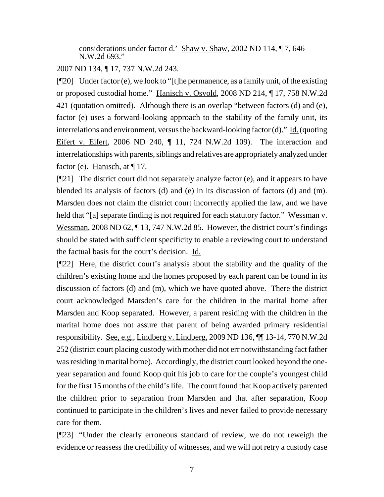considerations under factor d.' Shaw v. Shaw, 2002 ND 114, ¶ 7, 646 N.W.2d 693."

## 2007 ND 134, ¶ 17, 737 N.W.2d 243.

 $[$ [[20] Under factor (e), we look to "[t]he permanence, as a family unit, of the existing or proposed custodial home." Hanisch v. Osvold, 2008 ND 214, ¶ 17, 758 N.W.2d 421 (quotation omitted). Although there is an overlap "between factors (d) and (e), factor (e) uses a forward-looking approach to the stability of the family unit, its interrelations and environment, versus the backward-looking factor (d)." Id. (quoting Eifert v. Eifert, 2006 ND 240, ¶ 11, 724 N.W.2d 109). The interaction and interrelationships with parents, siblings and relatives are appropriately analyzed under factor (e). Hanisch, at  $\P$  17.

[¶21] The district court did not separately analyze factor (e), and it appears to have blended its analysis of factors (d) and (e) in its discussion of factors (d) and (m). Marsden does not claim the district court incorrectly applied the law, and we have held that "[a] separate finding is not required for each statutory factor." Wessman v. Wessman, 2008 ND 62, ¶ 13, 747 N.W.2d 85. However, the district court's findings should be stated with sufficient specificity to enable a reviewing court to understand the factual basis for the court's decision. Id.

[¶22] Here, the district court's analysis about the stability and the quality of the children's existing home and the homes proposed by each parent can be found in its discussion of factors (d) and (m), which we have quoted above. There the district court acknowledged Marsden's care for the children in the marital home after Marsden and Koop separated. However, a parent residing with the children in the marital home does not assure that parent of being awarded primary residential responsibility. See, e.g., Lindberg v. Lindberg, 2009 ND 136, ¶¶ 13-14, 770 N.W.2d 252 (district court placing custody with mother did not err notwithstanding fact father was residing in marital home). Accordingly, the district court looked beyond the oneyear separation and found Koop quit his job to care for the couple's youngest child for the first 15 months of the child's life. The court found that Koop actively parented the children prior to separation from Marsden and that after separation, Koop continued to participate in the children's lives and never failed to provide necessary care for them.

[¶23] "Under the clearly erroneous standard of review, we do not reweigh the evidence or reassess the credibility of witnesses, and we will not retry a custody case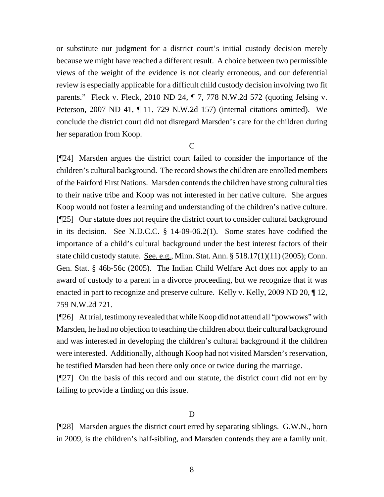or substitute our judgment for a district court's initial custody decision merely because we might have reached a different result. A choice between two permissible views of the weight of the evidence is not clearly erroneous, and our deferential review is especially applicable for a difficult child custody decision involving two fit parents." Fleck v. Fleck, 2010 ND 24, ¶ 7, 778 N.W.2d 572 (quoting Jelsing v. Peterson, 2007 ND 41, ¶ 11, 729 N.W.2d 157) (internal citations omitted). We conclude the district court did not disregard Marsden's care for the children during her separation from Koop.

 $\overline{C}$ 

[¶24] Marsden argues the district court failed to consider the importance of the children's cultural background. The record shows the children are enrolled members of the Fairford First Nations. Marsden contends the children have strong cultural ties to their native tribe and Koop was not interested in her native culture. She argues Koop would not foster a learning and understanding of the children's native culture. [¶25] Our statute does not require the district court to consider cultural background in its decision. See N.D.C.C. § 14-09-06.2(1). Some states have codified the importance of a child's cultural background under the best interest factors of their state child custody statute. See, e.g., Minn. Stat. Ann. § 518.17(1)(11) (2005); Conn. Gen. Stat. § 46b-56c (2005). The Indian Child Welfare Act does not apply to an award of custody to a parent in a divorce proceeding, but we recognize that it was enacted in part to recognize and preserve culture. Kelly v. Kelly, 2009 ND 20,  $\P$  12, 759 N.W.2d 721.

[¶26] At trial, testimony revealed that while Koop did not attend all "powwows" with Marsden, he had no objection to teaching the children about their cultural background and was interested in developing the children's cultural background if the children were interested. Additionally, although Koop had not visited Marsden's reservation, he testified Marsden had been there only once or twice during the marriage.

[¶27] On the basis of this record and our statute, the district court did not err by failing to provide a finding on this issue.

## D

[¶28] Marsden argues the district court erred by separating siblings. G.W.N., born in 2009, is the children's half-sibling, and Marsden contends they are a family unit.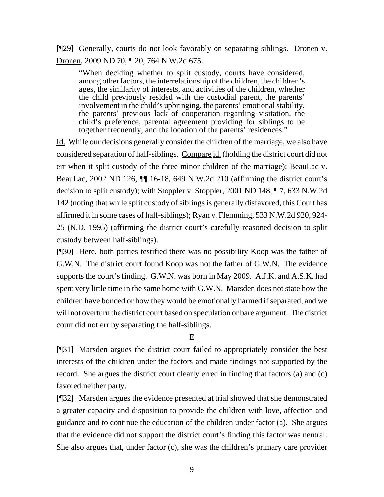[¶29] Generally, courts do not look favorably on separating siblings. Dronen v. Dronen, 2009 ND 70, ¶ 20, 764 N.W.2d 675.

"When deciding whether to split custody, courts have considered, among other factors, the interrelationship of the children, the children's ages, the similarity of interests, and activities of the children, whether the child previously resided with the custodial parent, the parents' involvement in the child's upbringing, the parents' emotional stability, the parents' previous lack of cooperation regarding visitation, the child's preference, parental agreement providing for siblings to be together frequently, and the location of the parents' residences."

Id. While our decisions generally consider the children of the marriage, we also have considered separation of half-siblings. Compare id. (holding the district court did not err when it split custody of the three minor children of the marriage); BeauLac v. BeauLac, 2002 ND 126, ¶¶ 16-18, 649 N.W.2d 210 (affirming the district court's decision to split custody); with Stoppler v. Stoppler, 2001 ND 148, ¶ 7, 633 N.W.2d 142 (noting that while split custody of siblings is generally disfavored, this Court has affirmed it in some cases of half-siblings); Ryan v. Flemming, 533 N.W.2d 920, 924- 25 (N.D. 1995) (affirming the district court's carefully reasoned decision to split custody between half-siblings).

[¶30] Here, both parties testified there was no possibility Koop was the father of G.W.N. The district court found Koop was not the father of G.W.N. The evidence supports the court's finding. G.W.N. was born in May 2009. A.J.K. and A.S.K. had spent very little time in the same home with G.W.N. Marsden does not state how the children have bonded or how they would be emotionally harmed if separated, and we will not overturn the district court based on speculation or bare argument. The district court did not err by separating the half-siblings.

## E

[¶31] Marsden argues the district court failed to appropriately consider the best interests of the children under the factors and made findings not supported by the record. She argues the district court clearly erred in finding that factors (a) and (c) favored neither party.

[¶32] Marsden argues the evidence presented at trial showed that she demonstrated a greater capacity and disposition to provide the children with love, affection and guidance and to continue the education of the children under factor (a). She argues that the evidence did not support the district court's finding this factor was neutral. She also argues that, under factor (c), she was the children's primary care provider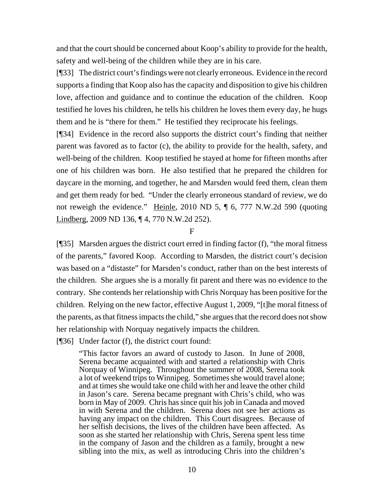and that the court should be concerned about Koop's ability to provide for the health, safety and well-being of the children while they are in his care.

[¶33] The district court's findings were not clearly erroneous. Evidence in the record supports a finding that Koop also has the capacity and disposition to give his children love, affection and guidance and to continue the education of the children. Koop testified he loves his children, he tells his children he loves them every day, he hugs them and he is "there for them." He testified they reciprocate his feelings.

[¶34] Evidence in the record also supports the district court's finding that neither parent was favored as to factor (c), the ability to provide for the health, safety, and well-being of the children. Koop testified he stayed at home for fifteen months after one of his children was born. He also testified that he prepared the children for daycare in the morning, and together, he and Marsden would feed them, clean them and get them ready for bed. "Under the clearly erroneous standard of review, we do not reweigh the evidence." Heinle, 2010 ND 5, ¶ 6, 777 N.W.2d 590 (quoting Lindberg, 2009 ND 136, ¶ 4, 770 N.W.2d 252).

F

[¶35] Marsden argues the district court erred in finding factor (f), "the moral fitness of the parents," favored Koop. According to Marsden, the district court's decision was based on a "distaste" for Marsden's conduct, rather than on the best interests of the children. She argues she is a morally fit parent and there was no evidence to the contrary. She contends her relationship with Chris Norquay has been positive for the children. Relying on the new factor, effective August 1, 2009, "[t]he moral fitness of the parents, as that fitness impacts the child," she argues that the record does not show her relationship with Norquay negatively impacts the children.

[¶36] Under factor (f), the district court found:

"This factor favors an award of custody to Jason. In June of 2008, Serena became acquainted with and started a relationship with Chris Norquay of Winnipeg. Throughout the summer of 2008, Serena took a lot of weekend trips to Winnipeg. Sometimes she would travel alone; and at times she would take one child with her and leave the other child in Jason's care. Serena became pregnant with Chris's child, who was born in May of 2009. Chris has since quit his job in Canada and moved in with Serena and the children. Serena does not see her actions as having any impact on the children. This Court disagrees. Because of her selfish decisions, the lives of the children have been affected. As soon as she started her relationship with Chris, Serena spent less time in the company of Jason and the children as a family, brought a new sibling into the mix, as well as introducing Chris into the children's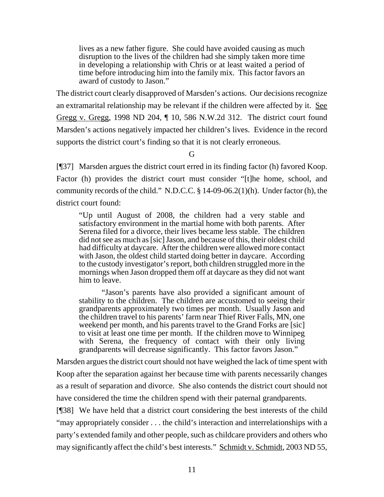lives as a new father figure. She could have avoided causing as much disruption to the lives of the children had she simply taken more time in developing a relationship with Chris or at least waited a period of time before introducing him into the family mix. This factor favors an award of custody to Jason."

The district court clearly disapproved of Marsden's actions. Our decisions recognize an extramarital relationship may be relevant if the children were affected by it. See Gregg v. Gregg, 1998 ND 204, ¶ 10, 586 N.W.2d 312. The district court found Marsden's actions negatively impacted her children's lives. Evidence in the record supports the district court's finding so that it is not clearly erroneous.

G

[¶37] Marsden argues the district court erred in its finding factor (h) favored Koop. Factor (h) provides the district court must consider "[t]he home, school, and community records of the child." N.D.C.C. § 14-09-06.2(1)(h). Under factor (h), the district court found:

"Up until August of 2008, the children had a very stable and satisfactory environment in the martial home with both parents. After Serena filed for a divorce, their lives became less stable. The children did not see as much as [sic] Jason, and because of this, their oldest child had difficulty at daycare. After the children were allowed more contact with Jason, the oldest child started doing better in daycare. According to the custody investigator's report, both children struggled more in the mornings when Jason dropped them off at daycare as they did not want him to leave.

"Jason's parents have also provided a significant amount of stability to the children. The children are accustomed to seeing their grandparents approximately two times per month. Usually Jason and the children travel to his parents' farm near Thief River Falls, MN, one weekend per month, and his parents travel to the Grand Forks are [sic] to visit at least one time per month. If the children move to Winnipeg with Serena, the frequency of contact with their only living grandparents will decrease significantly. This factor favors Jason."

Marsden argues the district court should not have weighed the lack of time spent with Koop after the separation against her because time with parents necessarily changes as a result of separation and divorce. She also contends the district court should not have considered the time the children spend with their paternal grandparents.

[¶38] We have held that a district court considering the best interests of the child "may appropriately consider . . . the child's interaction and interrelationships with a party's extended family and other people, such as childcare providers and others who may significantly affect the child's best interests." Schmidt v. Schmidt, 2003 ND 55,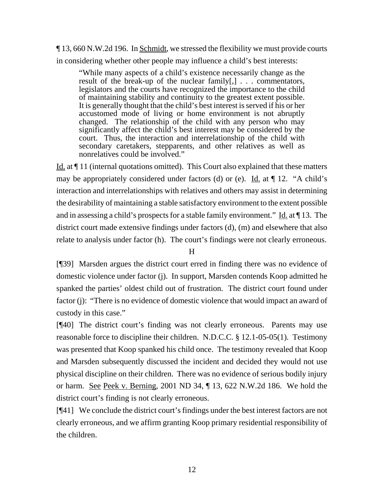¶ 13, 660 N.W.2d 196. In Schmidt, we stressed the flexibility we must provide courts in considering whether other people may influence a child's best interests:

"While many aspects of a child's existence necessarily change as the result of the break-up of the nuclear family[,] . . . commentators, legislators and the courts have recognized the importance to the child of maintaining stability and continuity to the greatest extent possible. It is generally thought that the child's best interest is served if his or her accustomed mode of living or home environment is not abruptly changed. The relationship of the child with any person who may significantly affect the child's best interest may be considered by the court. Thus, the interaction and interrelationship of the child with secondary caretakers, stepparents, and other relatives as well as nonrelatives could be involved."

Id. at ¶ 11 (internal quotations omitted). This Court also explained that these matters may be appropriately considered under factors (d) or (e). Id. at  $\P$  12. "A child's interaction and interrelationships with relatives and others may assist in determining the desirability of maintaining a stable satisfactory environment to the extent possible and in assessing a child's prospects for a stable family environment." Id. at ¶ 13. The district court made extensive findings under factors (d), (m) and elsewhere that also relate to analysis under factor (h). The court's findings were not clearly erroneous.

## H

[¶39] Marsden argues the district court erred in finding there was no evidence of domestic violence under factor (j). In support, Marsden contends Koop admitted he spanked the parties' oldest child out of frustration. The district court found under factor (j): "There is no evidence of domestic violence that would impact an award of custody in this case."

[¶40] The district court's finding was not clearly erroneous. Parents may use reasonable force to discipline their children. N.D.C.C. § 12.1-05-05(1). Testimony was presented that Koop spanked his child once. The testimony revealed that Koop and Marsden subsequently discussed the incident and decided they would not use physical discipline on their children. There was no evidence of serious bodily injury or harm. See Peek v. Berning, 2001 ND 34, ¶ 13, 622 N.W.2d 186. We hold the district court's finding is not clearly erroneous.

[¶41] We conclude the district court's findings under the best interest factors are not clearly erroneous, and we affirm granting Koop primary residential responsibility of the children.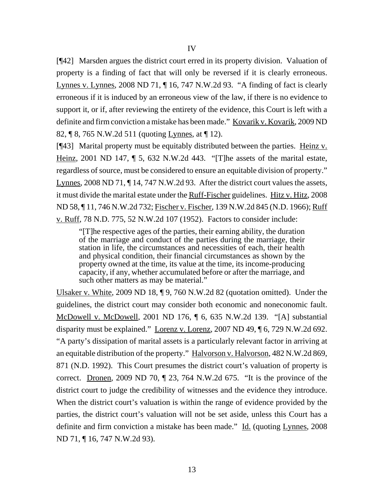[¶42] Marsden argues the district court erred in its property division. Valuation of property is a finding of fact that will only be reversed if it is clearly erroneous. Lynnes v. Lynnes, 2008 ND 71, ¶ 16, 747 N.W.2d 93. "A finding of fact is clearly erroneous if it is induced by an erroneous view of the law, if there is no evidence to support it, or if, after reviewing the entirety of the evidence, this Court is left with a definite and firm conviction a mistake has been made." Kovarik v. Kovarik, 2009 ND 82, ¶ 8, 765 N.W.2d 511 (quoting Lynnes, at ¶ 12).

[¶43] Marital property must be equitably distributed between the parties. Heinz v. Heinz, 2001 ND 147, ¶ 5, 632 N.W.2d 443. "[T]he assets of the marital estate, regardless of source, must be considered to ensure an equitable division of property." Lynnes, 2008 ND 71, ¶ 14, 747 N.W.2d 93. After the district court values the assets, it must divide the marital estate under the Ruff-Fischer guidelines. Hitz v. Hitz, 2008 ND 58, ¶ 11, 746 N.W.2d 732; Fischer v. Fischer, 139 N.W.2d 845 (N.D. 1966); Ruff v. Ruff, 78 N.D. 775, 52 N.W.2d 107 (1952). Factors to consider include:

"[T]he respective ages of the parties, their earning ability, the duration of the marriage and conduct of the parties during the marriage, their station in life, the circumstances and necessities of each, their health and physical condition, their financial circumstances as shown by the property owned at the time, its value at the time, its income-producing capacity, if any, whether accumulated before or after the marriage, and such other matters as may be material."

Ulsaker v. White, 2009 ND 18, ¶ 9, 760 N.W.2d 82 (quotation omitted). Under the guidelines, the district court may consider both economic and noneconomic fault. McDowell v. McDowell, 2001 ND 176, ¶ 6, 635 N.W.2d 139. "[A] substantial disparity must be explained." Lorenz v. Lorenz, 2007 ND 49, ¶ 6, 729 N.W.2d 692. "A party's dissipation of marital assets is a particularly relevant factor in arriving at an equitable distribution of the property." Halvorson v. Halvorson, 482 N.W.2d 869, 871 (N.D. 1992). This Court presumes the district court's valuation of property is correct. Dronen, 2009 ND 70, ¶ 23, 764 N.W.2d 675. "It is the province of the district court to judge the credibility of witnesses and the evidence they introduce. When the district court's valuation is within the range of evidence provided by the parties, the district court's valuation will not be set aside, unless this Court has a definite and firm conviction a mistake has been made." Id. (quoting Lynnes, 2008) ND 71, ¶ 16, 747 N.W.2d 93).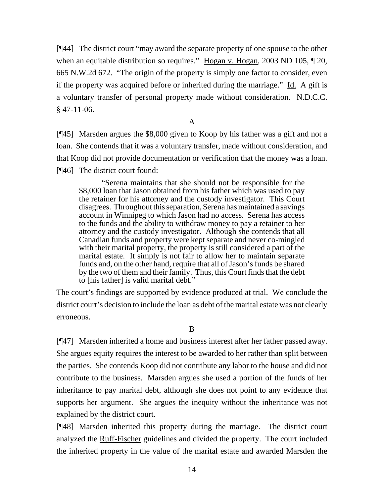[¶44] The district court "may award the separate property of one spouse to the other when an equitable distribution so requires." <u>Hogan v. Hogan</u>, 2003 ND 105,  $\parallel$  20, 665 N.W.2d 672. "The origin of the property is simply one factor to consider, even if the property was acquired before or inherited during the marriage." Id. A gift is a voluntary transfer of personal property made without consideration. N.D.C.C.  $§$  47-11-06.

A

[¶45] Marsden argues the \$8,000 given to Koop by his father was a gift and not a loan. She contends that it was a voluntary transfer, made without consideration, and that Koop did not provide documentation or verification that the money was a loan. [¶46] The district court found:

"Serena maintains that she should not be responsible for the \$8,000 loan that Jason obtained from his father which was used to pay the retainer for his attorney and the custody investigator. This Court disagrees. Throughout this separation, Serena has maintained a savings account in Winnipeg to which Jason had no access. Serena has access to the funds and the ability to withdraw money to pay a retainer to her attorney and the custody investigator. Although she contends that all Canadian funds and property were kept separate and never co-mingled with their marital property, the property is still considered a part of the marital estate. It simply is not fair to allow her to maintain separate funds and, on the other hand, require that all of Jason's funds be shared by the two of them and their family. Thus, this Court finds that the debt to [his father] is valid marital debt."

The court's findings are supported by evidence produced at trial. We conclude the district court's decision to include the loan as debt of the marital estate was not clearly erroneous.

B

[¶47] Marsden inherited a home and business interest after her father passed away. She argues equity requires the interest to be awarded to her rather than split between the parties. She contends Koop did not contribute any labor to the house and did not contribute to the business. Marsden argues she used a portion of the funds of her inheritance to pay marital debt, although she does not point to any evidence that supports her argument. She argues the inequity without the inheritance was not explained by the district court.

[¶48] Marsden inherited this property during the marriage. The district court analyzed the Ruff-Fischer guidelines and divided the property. The court included the inherited property in the value of the marital estate and awarded Marsden the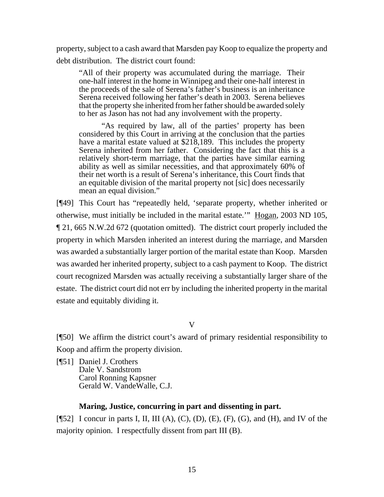property, subject to a cash award that Marsden pay Koop to equalize the property and debt distribution. The district court found:

"All of their property was accumulated during the marriage. Their one-half interest in the home in Winnipeg and their one-half interest in the proceeds of the sale of Serena's father's business is an inheritance Serena received following her father's death in 2003. Serena believes that the property she inherited from her father should be awarded solely to her as Jason has not had any involvement with the property.

"As required by law, all of the parties' property has been considered by this Court in arriving at the conclusion that the parties have a marital estate valued at \$218,189. This includes the property Serena inherited from her father. Considering the fact that this is a relatively short-term marriage, that the parties have similar earning ability as well as similar necessities, and that approximately 60% of their net worth is a result of Serena's inheritance, this Court finds that an equitable division of the marital property not [sic] does necessarily mean an equal division."

[¶49] This Court has "repeatedly held, 'separate property, whether inherited or otherwise, must initially be included in the marital estate." Hogan, 2003 ND 105, ¶ 21, 665 N.W.2d 672 (quotation omitted). The district court properly included the property in which Marsden inherited an interest during the marriage, and Marsden was awarded a substantially larger portion of the marital estate than Koop. Marsden was awarded her inherited property, subject to a cash payment to Koop. The district court recognized Marsden was actually receiving a substantially larger share of the estate. The district court did not err by including the inherited property in the marital estate and equitably dividing it.

V

[¶50] We affirm the district court's award of primary residential responsibility to Koop and affirm the property division.

[¶51] Daniel J. Crothers Dale V. Sandstrom Carol Ronning Kapsner Gerald W. VandeWalle, C.J.

## **Maring, Justice, concurring in part and dissenting in part.**

[ $[$ 52] I concur in parts I, II, III (A), (C), (D), (E), (F), (G), and (H), and IV of the majority opinion. I respectfully dissent from part III (B).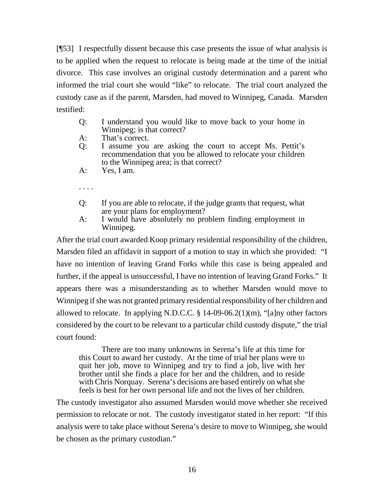[¶53] I respectfully dissent because this case presents the issue of what analysis is to be applied when the request to relocate is being made at the time of the initial divorce. This case involves an original custody determination and a parent who informed the trial court she would "like" to relocate. The trial court analyzed the custody case as if the parent, Marsden, had moved to Winnipeg, Canada. Marsden testified:

| Q: | I understand you would like to move back to your home in |  |  |  |  |  |  |  |  |
|----|----------------------------------------------------------|--|--|--|--|--|--|--|--|
|    | Winnipeg; is that correct?                               |  |  |  |  |  |  |  |  |

- A: That's correct.
- Q: I assume you are asking the court to accept Ms. Pettit's recommendation that you be allowed to relocate your children to the Winnipeg area; is that correct?
- A: Yes, I am.

. . . .

- Q: If you are able to relocate, if the judge grants that request, what are your plans for employment?
- A: I would have absolutely no problem finding employment in Winnipeg.

After the trial court awarded Koop primary residential responsibility of the children, Marsden filed an affidavit in support of a motion to stay in which she provided: "I have no intention of leaving Grand Forks while this case is being appealed and further, if the appeal is unsuccessful, I have no intention of leaving Grand Forks." It appears there was a misunderstanding as to whether Marsden would move to Winnipeg if she was not granted primary residential responsibility of her children and allowed to relocate. In applying N.D.C.C.  $\S$  14-09-06.2(1)(m), "[a]ny other factors considered by the court to be relevant to a particular child custody dispute," the trial court found:

There are too many unknowns in Serena's life at this time for this Court to award her custody. At the time of trial her plans were to quit her job, move to Winnipeg and try to find a job, live with her brother until she finds a place for her and the children, and to reside with Chris Norquay. Serena's decisions are based entirely on what she feels is best for her own personal life and not the lives of her children.

The custody investigator also assumed Marsden would move whether she received permission to relocate or not. The custody investigator stated in her report: "If this analysis were to take place without Serena's desire to move to Winnipeg, she would be chosen as the primary custodian."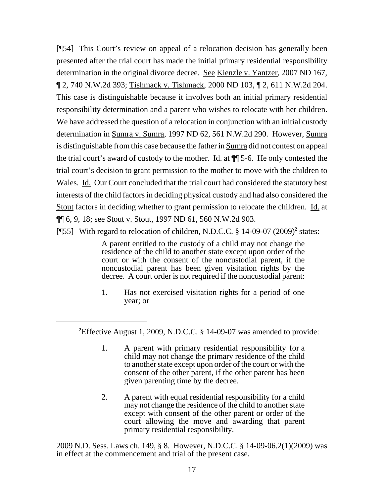[¶54] This Court's review on appeal of a relocation decision has generally been presented after the trial court has made the initial primary residential responsibility determination in the original divorce decree. See Kienzle v. Yantzer, 2007 ND 167, ¶ 2, 740 N.W.2d 393; Tishmack v. Tishmack, 2000 ND 103, ¶ 2, 611 N.W.2d 204. This case is distinguishable because it involves both an initial primary residential responsibility determination and a parent who wishes to relocate with her children. We have addressed the question of a relocation in conjunction with an initial custody determination in Sumra v. Sumra, 1997 ND 62, 561 N.W.2d 290. However, Sumra is distinguishable from this case because the father in Sumra did not contest on appeal the trial court's award of custody to the mother. <u>Id.</u> at  $\P$  5-6. He only contested the trial court's decision to grant permission to the mother to move with the children to Wales. Id. Our Court concluded that the trial court had considered the statutory best interests of the child factors in deciding physical custody and had also considered the Stout factors in deciding whether to grant permission to relocate the children. Id. at ¶¶ 6, 9, 18; see Stout v. Stout, 1997 ND 61, 560 N.W.2d 903.

[¶55] With regard to relocation of children, N.D.C.C. § 14-09-07 (2009)<sup>2</sup> states:

A parent entitled to the custody of a child may not change the residence of the child to another state except upon order of the court or with the consent of the noncustodial parent, if the noncustodial parent has been given visitation rights by the decree. A court order is not required if the noncustodial parent:

1. Has not exercised visitation rights for a period of one year; or

**2** Effective August 1, 2009, N.D.C.C. § 14-09-07 was amended to provide:

- 1. A parent with primary residential responsibility for a child may not change the primary residence of the child to another state except upon order of the court or with the consent of the other parent, if the other parent has been given parenting time by the decree.
- 2. A parent with equal residential responsibility for a child may not change the residence of the child to another state except with consent of the other parent or order of the court allowing the move and awarding that parent primary residential responsibility.

2009 N.D. Sess. Laws ch. 149, § 8. However, N.D.C.C. § 14-09-06.2(1)(2009) was in effect at the commencement and trial of the present case.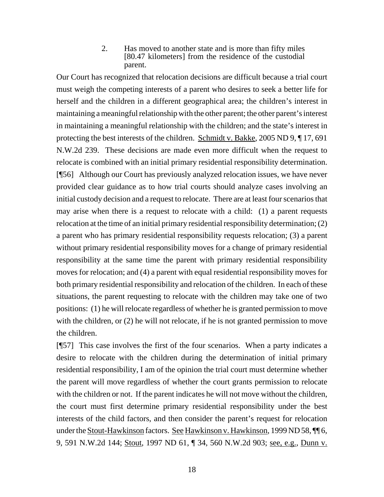2. Has moved to another state and is more than fifty miles [80.47 kilometers] from the residence of the custodial parent.

Our Court has recognized that relocation decisions are difficult because a trial court must weigh the competing interests of a parent who desires to seek a better life for herself and the children in a different geographical area; the children's interest in maintaining a meaningful relationship with the other parent; the other parent's interest in maintaining a meaningful relationship with the children; and the state's interest in protecting the best interests of the children. Schmidt v. Bakke, 2005 ND 9, ¶ 17, 691 N.W.2d 239. These decisions are made even more difficult when the request to relocate is combined with an initial primary residential responsibility determination. [¶56] Although our Court has previously analyzed relocation issues, we have never provided clear guidance as to how trial courts should analyze cases involving an initial custody decision and a request to relocate. There are at least four scenarios that may arise when there is a request to relocate with a child: (1) a parent requests relocation at the time of an initial primary residential responsibility determination; (2) a parent who has primary residential responsibility requests relocation; (3) a parent without primary residential responsibility moves for a change of primary residential responsibility at the same time the parent with primary residential responsibility moves for relocation; and (4) a parent with equal residential responsibility moves for both primary residential responsibility and relocation of the children. In each of these situations, the parent requesting to relocate with the children may take one of two positions: (1) he will relocate regardless of whether he is granted permission to move with the children, or (2) he will not relocate, if he is not granted permission to move the children.

[¶57] This case involves the first of the four scenarios. When a party indicates a desire to relocate with the children during the determination of initial primary residential responsibility, I am of the opinion the trial court must determine whether the parent will move regardless of whether the court grants permission to relocate with the children or not. If the parent indicates he will not move without the children, the court must first determine primary residential responsibility under the best interests of the child factors, and then consider the parent's request for relocation under the <u>Stout-Hawkinson</u> factors. <u>See Hawkinson v. Hawkinson</u>, 1999 ND 58, ¶ 6, 9, 591 N.W.2d 144; Stout, 1997 ND 61, ¶ 34, 560 N.W.2d 903; <u>see, e.g., Dunn v.</u>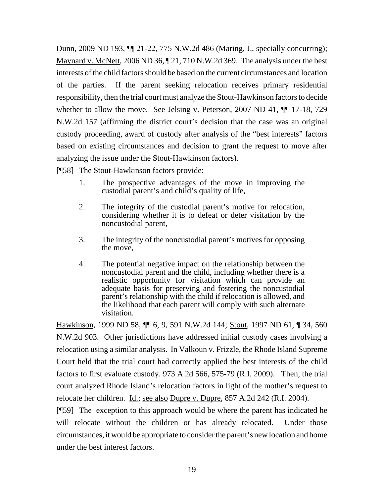Dunn, 2009 ND 193, ¶¶ 21-22, 775 N.W.2d 486 (Maring, J., specially concurring); Maynard v. McNett, 2006 ND 36,  $\sqrt{21}$ , 710 N.W.2d 369. The analysis under the best interests of the child factors should be based on the current circumstances and location of the parties. If the parent seeking relocation receives primary residential responsibility, then the trial court must analyze the Stout-Hawkinson factors to decide whether to allow the move. See Jelsing v. Peterson, 2007 ND 41,  $\P$  17-18, 729 N.W.2d 157 (affirming the district court's decision that the case was an original custody proceeding, award of custody after analysis of the "best interests" factors based on existing circumstances and decision to grant the request to move after analyzing the issue under the **Stout-Hawkinson** factors).

[¶58] The Stout-Hawkinson factors provide:

- 1. The prospective advantages of the move in improving the custodial parent's and child's quality of life,
- 2. The integrity of the custodial parent's motive for relocation, considering whether it is to defeat or deter visitation by the noncustodial parent,
- 3. The integrity of the noncustodial parent's motives for opposing the move,
- 4. The potential negative impact on the relationship between the noncustodial parent and the child, including whether there is a realistic opportunity for visitation which can provide an adequate basis for preserving and fostering the noncustodial parent's relationship with the child if relocation is allowed, and the likelihood that each parent will comply with such alternate visitation.

Hawkinson, 1999 ND 58, ¶¶ 6, 9, 591 N.W.2d 144; Stout, 1997 ND 61, ¶ 34, 560 N.W.2d 903. Other jurisdictions have addressed initial custody cases involving a relocation using a similar analysis. In Valkoun v. Frizzle, the Rhode Island Supreme Court held that the trial court had correctly applied the best interests of the child factors to first evaluate custody. 973 A.2d 566, 575-79 (R.I. 2009). Then, the trial court analyzed Rhode Island's relocation factors in light of the mother's request to relocate her children. Id.; see also Dupre v. Dupre, 857 A.2d 242 (R.I. 2004).

[¶59] The exception to this approach would be where the parent has indicated he will relocate without the children or has already relocated. Under those circumstances, it would be appropriate to consider the parent's new location and home under the best interest factors.